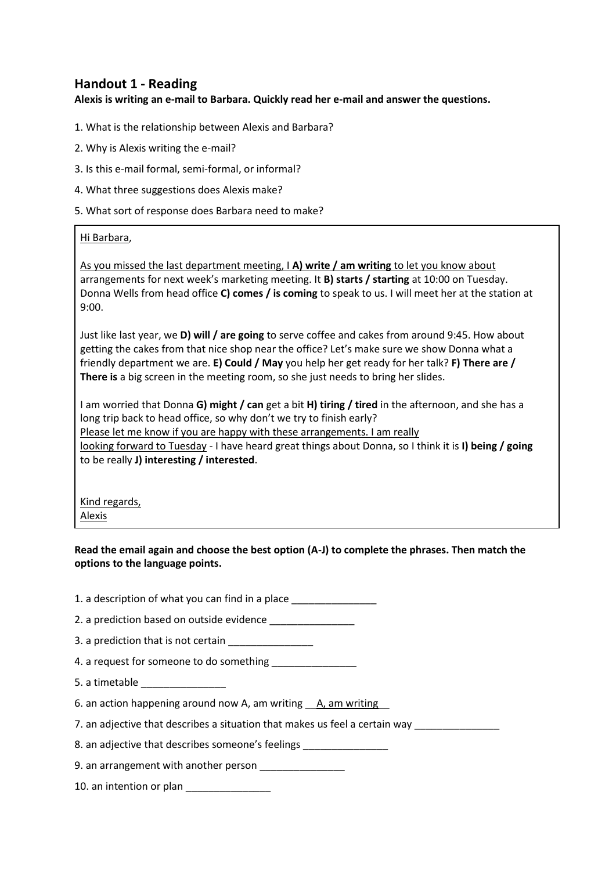## **Handout 1 - Reading**

**Alexis is writing an e-mail to Barbara. Quickly read her e-mail and answer the questions.**

- 1. What is the relationship between Alexis and Barbara?
- 2. Why is Alexis writing the e-mail?
- 3. Is this e-mail formal, semi-formal, or informal?
- 4. What three suggestions does Alexis make?
- 5. What sort of response does Barbara need to make?

## Hi Barbara,

As you missed the last department meeting, I **A) write / am writing** to let you know about arrangements for next week's marketing meeting. It **B) starts / starting** at 10:00 on Tuesday. Donna Wells from head office **C) comes / is coming** to speak to us. I will meet her at the station at 9:00.

Just like last year, we **D) will / are going** to serve coffee and cakes from around 9:45. How about getting the cakes from that nice shop near the office? Let's make sure we show Donna what a friendly department we are. **E) Could / May** you help her get ready for her talk? **F) There are / There is** a big screen in the meeting room, so she just needs to bring her slides.

I am worried that Donna **G) might / can** get a bit **H) tiring / tired** in the afternoon, and she has a long trip back to head office, so why don't we try to finish early? Please let me know if you are happy with these arrangements. I am really looking forward to Tuesday - I have heard great things about Donna, so I think it is **I) being / going** to be really **J) interesting / interested**.

Kind regards, Alexis

**Read the email again and choose the best option (A-J) to complete the phrases. Then match the options to the language points.**

1. a description of what you can find in a place

2. a prediction based on outside evidence \_\_\_\_\_\_\_\_\_\_\_\_\_\_

3. a prediction that is not certain

4. a request for someone to do something \_\_\_\_\_\_

5. a timetable \_\_\_\_\_\_\_\_\_\_\_\_\_\_\_

6. an action happening around now A, am writing  $\blacksquare$  A, am writing

7. an adjective that describes a situation that makes us feel a certain way

8. an adjective that describes someone's feelings

9. an arrangement with another person \_\_\_\_\_\_\_\_\_\_\_\_\_\_\_

10. an intention or plan